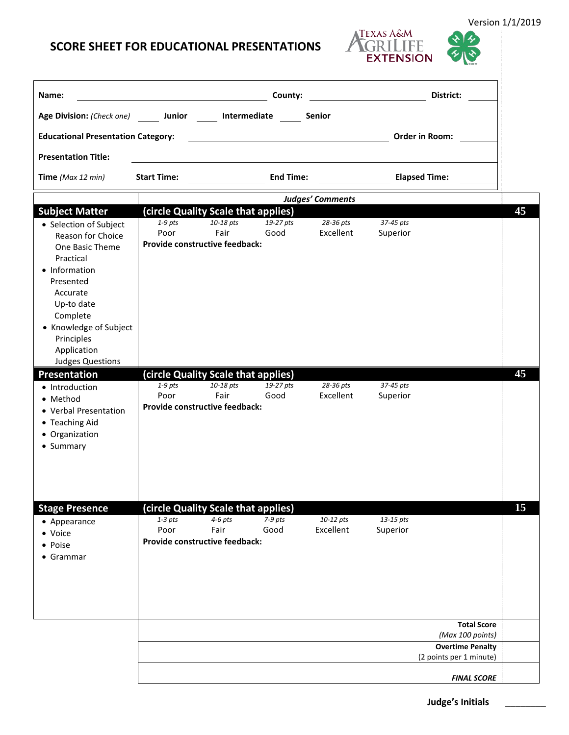## **SCORE SHEET FOR EDUCATIONAL PRESENTATIONS**

| Name:                                                                                                                                                                                                                             |                                                                                            |                   | County:           |                        | District:                                                                                    |    |
|-----------------------------------------------------------------------------------------------------------------------------------------------------------------------------------------------------------------------------------|--------------------------------------------------------------------------------------------|-------------------|-------------------|------------------------|----------------------------------------------------------------------------------------------|----|
| Age Division: (Check one) Junior                                                                                                                                                                                                  |                                                                                            | Intermediate      |                   | Senior                 |                                                                                              |    |
| <b>Educational Presentation Category:</b>                                                                                                                                                                                         |                                                                                            |                   |                   |                        | Order in Room:                                                                               |    |
|                                                                                                                                                                                                                                   |                                                                                            |                   |                   |                        |                                                                                              |    |
| <b>Presentation Title:</b>                                                                                                                                                                                                        |                                                                                            |                   |                   |                        |                                                                                              |    |
| Time (Max 12 min)                                                                                                                                                                                                                 | <b>Start Time:</b>                                                                         |                   | <b>End Time:</b>  |                        | <b>Elapsed Time:</b>                                                                         |    |
| Judges' Comments                                                                                                                                                                                                                  |                                                                                            |                   |                   |                        |                                                                                              |    |
| <b>Subject Matter</b>                                                                                                                                                                                                             | (circle Quality Scale that applies)<br>$1-9$ pts                                           | 10-18 pts         | 19-27 pts         | 28-36 pts              | 37-45 pts                                                                                    | 45 |
| • Selection of Subject<br>Reason for Choice<br>One Basic Theme<br>Practical<br>• Information<br>Presented<br>Accurate<br>Up-to date<br>Complete<br>• Knowledge of Subject<br>Principles<br>Application<br><b>Judges Questions</b> | Poor<br>Provide constructive feedback:                                                     | Fair              | Good              | Excellent              | Superior                                                                                     |    |
| <b>Presentation</b>                                                                                                                                                                                                               | (circle Quality Scale that applies)                                                        |                   |                   |                        |                                                                                              | 45 |
| • Introduction<br>• Method<br>• Verbal Presentation<br>• Teaching Aid<br>• Organization<br>• Summary                                                                                                                              | $1-9$ pts<br>Poor<br>Provide constructive feedback:                                        | 10-18 pts<br>Fair | 19-27 pts<br>Good | 28-36 pts<br>Excellent | 37-45 pts<br>Superior                                                                        |    |
|                                                                                                                                                                                                                                   |                                                                                            |                   |                   |                        |                                                                                              |    |
| <b>Stage Presence</b><br>• Appearance<br>• Voice<br>• Poise<br>• Grammar                                                                                                                                                          | (circle Quality Scale that applies)<br>$1-3$ pts<br>Poor<br>Provide constructive feedback: | $4-6$ pts<br>Fair | $7-9$ pts<br>Good | 10-12 pts<br>Excellent | 13-15 pts<br>Superior                                                                        | 15 |
|                                                                                                                                                                                                                                   |                                                                                            |                   |                   |                        |                                                                                              |    |
|                                                                                                                                                                                                                                   |                                                                                            |                   |                   |                        | <b>Total Score</b><br>(Max 100 points)<br><b>Overtime Penalty</b><br>(2 points per 1 minute) |    |
|                                                                                                                                                                                                                                   |                                                                                            |                   |                   |                        | <b>FINAL SCORE</b>                                                                           |    |

Version 1/1/2019

j

ダ

TEXAS A&M<br>TGRILIFE<br>EXTENSION